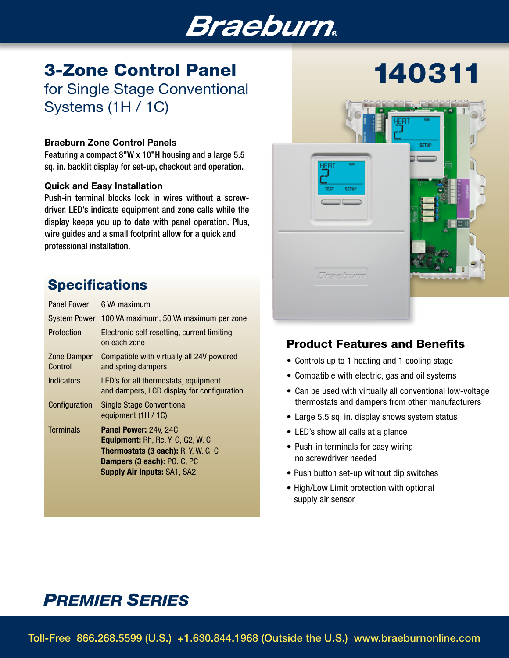# **Braeburn**

# 3-Zone Control Panel for Single Stage Conventional Systems (1H / 1C)

#### Braeburn Zone Control Panels

Featuring a compact 8"W x 10"H housing and a large 5.5 sq. in. backlit display for set-up, checkout and operation.

#### Quick and Easy Installation

Push-in terminal blocks lock in wires without a screwdriver. LED's indicate equipment and zone calls while the display keeps you up to date with panel operation. Plus, wire guides and a small footprint allow for a quick and professional installation.

## **Specifications**

| Panel Power            | 6 VA maximum                                                                                                                                                                                       |
|------------------------|----------------------------------------------------------------------------------------------------------------------------------------------------------------------------------------------------|
|                        | System Power 100 VA maximum, 50 VA maximum per zone                                                                                                                                                |
| Protection             | Electronic self resetting, current limiting<br>on each zone                                                                                                                                        |
| Zone Damper<br>Control | Compatible with virtually all 24V powered<br>and spring dampers                                                                                                                                    |
| Indicators             | LED's for all thermostats, equipment<br>and dampers, LCD display for configuration                                                                                                                 |
| Configuration          | <b>Single Stage Conventional</b><br>equipment (1H / 1C)                                                                                                                                            |
| <b>Terminals</b>       | <b>Panel Power: 24V, 24C</b><br><b>Equipment:</b> Rh, Rc, Y, G, G2, W, C<br><b>Thermostats (3 each): R, Y, W, G, C</b><br><b>Dampers (3 each): PO, C, PC</b><br><b>Supply Air Inputs: SA1, SA2</b> |
|                        |                                                                                                                                                                                                    |



### Product Features and Benefits

- Controls up to 1 heating and 1 cooling stage
- Compatible with electric, gas and oil systems
- Can be used with virtually all conventional low-voltage thermostats and dampers from other manufacturers
- Large 5.5 sq. in. display shows system status
- LED's show all calls at a glance
- Push-in terminals for easy wiring– no screwdriver needed
- Push button set-up without dip switches
- High/Low Limit protection with optional supply air sensor

## *PREMIER SERIES*

Toll-Free 866.268.5599 (U.S.) +1.630.844.1968 (Outside the U.S.) www.braeburnonline.com